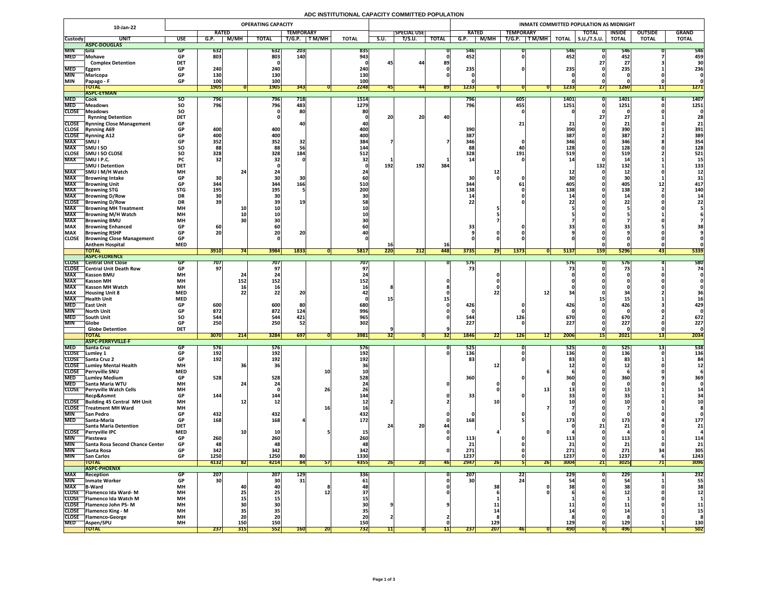# **ADC INSTITUTIONAL CAPACITY COMMITTED POPULATION**

|                            | 10-Jan-22                                                       | <b>OPERATING CAPACITY</b> |                   |                                                               |                 |                  |            |                  |           |                     |                  | INMATE COMMITTED POPULATION AS MIDNIGHT |            |                           |                    |                     |                      |                       |              |  |  |
|----------------------------|-----------------------------------------------------------------|---------------------------|-------------------|---------------------------------------------------------------|-----------------|------------------|------------|------------------|-----------|---------------------|------------------|-----------------------------------------|------------|---------------------------|--------------------|---------------------|----------------------|-----------------------|--------------|--|--|
|                            |                                                                 |                           | <b>RATED</b>      |                                                               |                 | <b>TEMPORARY</b> |            |                  |           | <b>SPECIAL USE</b>  |                  | <b>RATED</b>                            |            | <b>TEMPORARY</b>          |                    | <b>TOTAL</b>        | <b>INSIDE</b>        | <b>OUTSIDE</b>        | <b>GRAND</b> |  |  |
| <b>Custody</b>             | <b>UNIT</b>                                                     | <b>USE</b>                | G.P.              | <b>M/MH</b>                                                   | <b>TOTAL</b>    | T/G.P.           | T M/MH     | <b>TOTAL</b>     | S.U.      | $\overline{T/S.U.}$ | <b>TOTAL</b>     | G.P.                                    | M/MH       | T/G.P.<br>$\sqrt{T}$ M/MH | <b>TOTAL</b>       | $\vert$ S.U./T.S.U. | <b>TOTAL</b>         | <b>TOTAL</b>          | <b>TOTAL</b> |  |  |
|                            | ASPC-DOUGLAS                                                    |                           |                   |                                                               |                 |                  |            |                  |           |                     |                  |                                         |            |                           |                    |                     |                      |                       |              |  |  |
| <b>MIN</b><br><b>MED</b>   | <b>Sila</b><br>Mohave                                           | GP<br><b>GP</b>           | <b>632</b><br>803 |                                                               | 632<br>803      | 203<br>140       |            | 835<br>943       |           |                     |                  | 546<br>452                              |            |                           | <b>5461</b><br>452 |                     | 546<br>452           |                       | 546<br>459   |  |  |
|                            | <b>Complex Detention</b>                                        | <b>DET</b>                |                   |                                                               |                 |                  |            |                  | 45        | 44                  | 89               |                                         |            |                           |                    |                     | $\mathcal{L}$ /      |                       |              |  |  |
| <b>MED</b>                 | <b>Eggers</b>                                                   | <b>GP</b>                 | 240               |                                                               | 240             |                  |            | 240              |           |                     |                  | 235                                     |            |                           | 235                |                     | 235                  |                       | 236          |  |  |
| <b>MIN</b>                 | <b>Maricopa</b>                                                 | <b>GP</b>                 | 130               |                                                               | 130             |                  |            | 130              |           |                     |                  |                                         |            |                           |                    |                     |                      |                       |              |  |  |
| <b>MIN</b>                 | <b>Papago - F</b>                                               | <b>GP</b>                 | 100               |                                                               | 100             |                  |            | 100              |           |                     |                  |                                         |            |                           |                    |                     |                      |                       |              |  |  |
|                            | <b>TOTAL</b><br><b>ASPC-EYMAN</b>                               |                           | <b>1905</b>       |                                                               | <b>1905</b>     | 343              |            | 2248             |           | 441                 | <b>891</b>       | 1233                                    |            |                           | <b>1233</b>        | 21                  | <b>1260</b>          | 11                    | <b>1271</b>  |  |  |
| <b>MED</b>                 | Cook                                                            | <b>SO</b>                 | 796               |                                                               | <b>796</b>      | 718              |            | 1514             |           |                     |                  | 796                                     |            | 605                       | <b>1401</b>        |                     | 1401                 |                       | 1407         |  |  |
| <b>MED</b>                 | <b>Meadows</b>                                                  | <b>SO</b>                 | 796               |                                                               | 796             | 483              |            | 1279             |           |                     |                  | 796                                     |            | 455                       | 1251               |                     | 1251                 |                       | 1251         |  |  |
| <b>CLOSE</b>               | <b>Neadows</b>                                                  | <b>SO</b>                 |                   |                                                               |                 | 80               |            | 80               |           |                     |                  |                                         |            |                           |                    |                     |                      |                       |              |  |  |
|                            | <b>Rynning Detention</b>                                        | <b>DET</b>                |                   |                                                               |                 |                  |            |                  | 20        | 20                  | 40               |                                         |            |                           |                    |                     | $\epsilon$ /         |                       | 28           |  |  |
| <b>CLOSE</b>               | <b>CLOSE</b> Rynning Close Management<br><b>Rynning A69</b>     | <b>GP</b><br><b>GP</b>    | 400               |                                                               | 400             |                  |            | <b>400</b>       |           |                     |                  | 390                                     |            |                           | 390                |                     | 390                  |                       | 21<br>391    |  |  |
| <b>CLOSE</b>               | <b>Rynning A12</b>                                              | <b>GP</b>                 | 400               |                                                               | 400             |                  |            | 400              |           |                     |                  | 387                                     |            |                           | 387                |                     | 387                  |                       | 389          |  |  |
| <b>MAX</b>                 | SMU I                                                           | <b>GP</b>                 | 352               |                                                               | 352             | 32               |            | 384              |           |                     |                  | 346                                     |            |                           | 346                |                     | 346                  |                       | 354          |  |  |
| <b>MAX</b>                 | <b>SMUISO</b>                                                   | SO                        | 88                |                                                               | 88              |                  |            | 144              |           |                     |                  |                                         |            |                           | 128                |                     | 128                  |                       | 128          |  |  |
| <b>CLOSE</b>               | <b>SMU I SO CLOSE</b>                                           | <b>SO</b>                 | 328               |                                                               | 328             | 184              |            | <b>512</b>       |           |                     |                  | 328                                     |            | 191                       | 519                |                     | 519                  |                       | 521          |  |  |
| <b>MAX</b>                 | SMU I P.C.                                                      | <b>PC</b>                 | 32                |                                                               |                 |                  |            |                  |           |                     |                  |                                         |            |                           |                    |                     |                      |                       |              |  |  |
| <b>MAX</b>                 | <b>SMU I Detention</b><br> SMU I M/H Watch                      | <b>DET</b><br><b>MH</b>   |                   |                                                               |                 |                  |            |                  | 192       | 192                 | 384              |                                         |            |                           |                    | 132                 | 132                  |                       | 133          |  |  |
| <b>MAX</b>                 | Browning Intake                                                 | <b>GP</b>                 | 30                |                                                               |                 |                  |            |                  |           |                     |                  | 30                                      |            |                           |                    |                     | $\perp$<br><b>30</b> |                       |              |  |  |
| <b>MAX</b>                 | <b>Browning Unit</b>                                            | <b>GP</b>                 | 344               |                                                               | 344             | 166              |            | 510              |           |                     |                  | 344                                     |            |                           | 405                |                     | 405                  | ┻┻                    | 417          |  |  |
| <b>MAX</b>                 | <b>Browning STG</b>                                             | <b>STG</b>                | <b>195</b>        |                                                               | 195             |                  |            | 200              |           |                     |                  | 138                                     |            |                           | 138                |                     | 138                  |                       | 140          |  |  |
| <b>MAX</b>                 | <b>Browning D/Row</b>                                           | <b>DR</b>                 | <b>30</b>         |                                                               |                 |                  |            |                  |           |                     |                  |                                         |            |                           |                    |                     | 91                   |                       |              |  |  |
| <b>CLOSE</b><br><b>MAX</b> | <b>Browning D/Row</b><br><b>Browning MH Treatment</b>           | <b>DR</b><br><b>MH</b>    | 39                | <b>10</b>                                                     |                 | 19               |            |                  |           |                     |                  |                                         |            |                           |                    |                     |                      |                       |              |  |  |
| <b>MAX</b>                 | <b>TBrowning M/H Watch</b>                                      | <b>MH</b>                 |                   |                                                               |                 |                  |            |                  |           |                     |                  |                                         |            |                           |                    |                     |                      |                       |              |  |  |
| <b>MAX</b>                 | <b>Browning BMU</b>                                             | <b>MH</b>                 |                   |                                                               |                 |                  |            |                  |           |                     |                  |                                         |            |                           |                    |                     |                      |                       |              |  |  |
| <b>MAX</b>                 | <b>Browning Enhanced</b>                                        | <b>GP</b>                 | 60 <sub>1</sub>   |                                                               |                 |                  |            |                  |           |                     |                  | 33                                      |            |                           |                    |                     |                      |                       |              |  |  |
| <b>MAX</b>                 | <b>Browning RSHP</b>                                            | <b>GP</b>                 | 20                |                                                               | ZU              | nn.<br><b>ZU</b> |            |                  |           |                     |                  |                                         |            |                           |                    |                     |                      |                       |              |  |  |
| <b>CLOSE</b>               | <b>Browning Close Management</b>                                | <b>GP</b>                 |                   |                                                               |                 |                  |            |                  |           |                     |                  |                                         |            |                           |                    |                     |                      |                       |              |  |  |
|                            | <b>Anthem Hospital</b><br><b>TOTAL</b>                          | <b>MED</b>                | 3910              |                                                               | 3984            | 1833             |            | 5817             | TQ<br>220 | 212                 | <b>16</b><br>448 | 3735                                    | 29         | 1373                      | 5137               | <b>159</b>          | <b>5296</b>          | 431                   | 5339         |  |  |
|                            | <b>ASPC-FLORENCE</b>                                            |                           |                   |                                                               |                 |                  |            |                  |           |                     |                  |                                         |            |                           |                    |                     |                      |                       |              |  |  |
| <b>CLOSE</b>               | <b>Central Unit Close</b>                                       |                           | 707               |                                                               | 707             |                  |            | 707              |           |                     |                  | 576                                     |            |                           | <b>576</b>         |                     | 576                  |                       | 580          |  |  |
|                            | <b>CLOSE</b> Central Unit Death Row                             | <b>GP</b>                 | 97 <sub>1</sub>   |                                                               |                 |                  |            |                  |           |                     |                  |                                         |            |                           |                    |                     |                      |                       | 74           |  |  |
| <b>MAX</b>                 | <b>Kasson BMU</b>                                               | <b>MH</b><br><b>MH</b>    |                   |                                                               |                 |                  |            |                  |           |                     |                  |                                         |            |                           |                    |                     |                      |                       |              |  |  |
| <b>MAX</b><br><b>MAX</b>   | <b>Kasson MH</b><br><b>Kasson MH Watch</b>                      | <b>MH</b>                 |                   | 152<br>TP.                                                    | 152             |                  |            | 152              |           |                     |                  |                                         |            |                           |                    |                     |                      |                       |              |  |  |
| <b>MAX</b>                 | <b>Housing Unit 8</b>                                           | <b>MED</b>                |                   |                                                               |                 | $\bigcap$        |            |                  |           |                     |                  |                                         |            |                           |                    |                     |                      |                       |              |  |  |
| <b>MAX</b>                 | <b>Health Unit</b>                                              | <b>MED</b>                |                   |                                                               |                 |                  |            |                  |           |                     |                  |                                         |            |                           |                    |                     |                      |                       |              |  |  |
| <b>MED</b>                 | <b>TEast Unit</b>                                               | <b>GP</b>                 | 600               |                                                               | 600             | 80               |            | 680              |           |                     |                  | 426                                     |            |                           | 426 <sub>1</sub>   |                     | 426                  |                       | 429          |  |  |
| <b>MIN</b>                 | <b>North Unit</b>                                               | <b>GP</b>                 | 872               |                                                               | 872             | 124              |            | 996              |           |                     |                  |                                         |            |                           |                    |                     |                      |                       |              |  |  |
| <b>MED</b><br><b>MIN</b>   | <b>South Unit</b><br><b>Globe</b>                               | <b>SO</b><br><b>GP</b>    | 544<br>250        |                                                               | 544<br>250      | 421<br>52        |            | 965<br>302       |           |                     |                  | 544<br>227                              |            | 126                       | 670<br>227         |                     | 670<br>227           |                       | 672<br>227   |  |  |
|                            | <b>Globe Detention</b>                                          | <b>DET</b>                |                   |                                                               |                 |                  |            |                  |           |                     |                  |                                         |            |                           |                    |                     |                      |                       |              |  |  |
|                            | <b>TOTAL</b>                                                    |                           | <b>3070</b>       | $\begin{array}{c} \n \boldsymbol{341} \n \end{array}$<br> Z14 | 3284            | 697              |            | 3981             | 32        |                     | <b>34</b>        | 1846                                    | 22         | 126<br> 12                | 2006               | 4F<br>151           | 2021                 | $\overline{1}$<br> 15 | 2034         |  |  |
|                            | <b>ASPC-PERRYVILLE-F</b>                                        |                           |                   |                                                               |                 |                  |            |                  |           |                     |                  |                                         |            |                           |                    |                     |                      |                       |              |  |  |
| <b>MED</b>                 | <b>Santa Cruz</b>                                               | GP                        | 576               |                                                               | 576             |                  |            | <b>576</b>       |           |                     |                  | 525                                     |            |                           | <b>525J</b>        |                     | 525                  |                       | 538          |  |  |
| <b>CLOSE</b>               | Lumley 1<br>CLOSE Santa Cruz 2                                  | <b>GP</b><br><b>GP</b>    | 192<br>192        |                                                               | 192<br>192      |                  |            | 192<br>192       |           |                     |                  | 136                                     |            |                           | 136                |                     | 136<br>83            |                       | 136          |  |  |
|                            | <b>CLOSE</b> Lumley Mental Health                               | <b>MH</b>                 |                   |                                                               |                 |                  |            |                  |           |                     |                  |                                         |            |                           |                    |                     |                      |                       |              |  |  |
| <b>CLOSE</b>               | <b>Perryville SNU</b>                                           | <b>MED</b>                |                   |                                                               |                 |                  | <b>10</b>  |                  |           |                     |                  |                                         |            |                           |                    |                     |                      |                       |              |  |  |
| <b>MED</b>                 | <b>Lumley Medium</b>                                            | <b>GP</b>                 | 528               |                                                               | 528             |                  |            | 528              |           |                     |                  | 360                                     |            |                           |                    |                     | 360                  |                       | 369          |  |  |
| <b>MED</b>                 | Santa Maria WTU                                                 | <b>MH</b>                 |                   |                                                               |                 |                  |            |                  |           |                     |                  |                                         |            |                           |                    |                     |                      |                       |              |  |  |
| <b>CLOSE</b>               | <b>Perryville Watch Cells</b><br>Recp&Asmnt                     | <b>MH</b><br><b>GP</b>    | 144               |                                                               | 144             |                  | 26         | 144              |           |                     |                  | 33                                      |            |                           |                    |                     |                      |                       |              |  |  |
|                            | CLOSE Building 45 Central MH Unit                               | <b>MH</b>                 |                   |                                                               | TV.             |                  |            |                  |           |                     |                  |                                         |            |                           |                    |                     |                      |                       |              |  |  |
|                            | <b>CLOSE</b> Treatment MH Ward                                  | <b>MH</b>                 |                   |                                                               |                 |                  |            |                  |           |                     |                  |                                         |            |                           |                    |                     |                      |                       |              |  |  |
| <b>MIN</b>                 | <b>San Pedro</b>                                                | <b>GP</b>                 | 432               |                                                               | 432             |                  |            | 432              |           |                     |                  |                                         |            |                           |                    |                     |                      |                       |              |  |  |
| <b>MED</b>                 | <b>Santa-Maria</b>                                              | <b>GP</b>                 | 168               |                                                               | 168             |                  |            | 172 <sub>1</sub> |           |                     |                  | 168                                     |            |                           |                    |                     | 173                  |                       | 177          |  |  |
|                            | <b>Santa Maria Detention</b><br>CLOSE Perryville IPC            | <b>DET</b><br><b>MED</b>  |                   |                                                               |                 |                  |            |                  |           | 20 <sub>1</sub>     |                  |                                         |            |                           |                    |                     | 21                   |                       | 21           |  |  |
| <b>MIN</b>                 | <b>Piestewa</b>                                                 | <b>GP</b>                 | 260               |                                                               | 260             |                  |            |                  |           |                     |                  | 113                                     |            |                           | ---                |                     | <b>113</b>           |                       | 114          |  |  |
| <b>MIN</b>                 | <b>Santa Rosa Second Chance Center</b>                          | <b>GP</b>                 | 48                |                                                               | 48              |                  |            | 48               |           |                     |                  | 21                                      |            |                           | 21                 |                     | 21                   |                       | 21           |  |  |
| <b>MIN</b>                 | Santa Rosa                                                      | <b>GP</b>                 | 342               |                                                               | 342             |                  |            | 342              |           |                     |                  | 271                                     |            |                           | 271                |                     | 271                  |                       | 305          |  |  |
| <b>MIN</b>                 | <b>San Carlos</b>                                               | <b>GP</b>                 | 1250              |                                                               | 1250            | 80               |            | 1330             |           |                     |                  | 1237                                    |            |                           | 1237               |                     | 1237                 |                       | 1243         |  |  |
|                            | <b>TOTAL</b><br><b>ASPC-PHOENIX</b>                             |                           | 4132              | <b>821</b>                                                    | 4214            | 84               | 51         | 4355             | <b>26</b> | 20                  | <b>461</b>       | 2947                                    | 26         | 26                        | 3004               | 21                  | 3025                 |                       | 3096         |  |  |
| <b>MAX</b>                 | <b>Reception</b>                                                | GP                        | 207               |                                                               | 207             | 129              |            | 336              |           |                     |                  | <b>207</b>                              |            | ZZ.                       | 229                |                     | 229                  |                       | 232          |  |  |
| <b>MIN</b>                 | Inmate Worker                                                   | <b>GP</b>                 | 30                |                                                               | 30 <sup>°</sup> | 31               |            | 61               |           |                     |                  | 30 <sup>1</sup>                         |            |                           |                    |                     |                      |                       | 55           |  |  |
| <b>MAX</b>                 | <b>B-Ward</b>                                                   | <b>MH</b>                 |                   |                                                               |                 |                  |            |                  |           |                     |                  |                                         |            |                           |                    |                     |                      |                       | 38           |  |  |
|                            | CLOSE   Flamenco Ida Ward-M                                     | <b>MH</b>                 |                   |                                                               |                 |                  |            |                  |           |                     |                  |                                         |            |                           |                    |                     |                      |                       |              |  |  |
|                            | CLOSE   Flamenco Ida Watch M<br><b>CLOSE</b> Flamenco John PS-M | <b>MH</b><br><b>MH</b>    |                   |                                                               |                 |                  |            |                  |           |                     |                  |                                         |            |                           |                    |                     |                      |                       | <b>11</b>    |  |  |
|                            | <b>CLOSE</b> Flamenco King - M                                  | <b>MH</b>                 |                   |                                                               |                 |                  |            |                  |           |                     |                  |                                         |            |                           |                    |                     | <u>ана</u>           |                       |              |  |  |
|                            | CLOSE   Flamenco-George                                         | <b>MH</b>                 |                   | ΖU                                                            | ZU              |                  |            |                  |           |                     |                  |                                         |            |                           |                    |                     |                      |                       |              |  |  |
| <b>MED</b>                 | <b>Aspen/SPU</b>                                                | <b>MH</b>                 |                   | <b>150</b>                                                    | 150             |                  |            | 150              |           |                     |                  |                                         | <b>129</b> |                           | 129                |                     | 129                  |                       | 130          |  |  |
|                            | <b>TOTAL</b>                                                    |                           | 237               | 315                                                           | 552             | <b>160</b>       | <b>ZUI</b> | 732              |           |                     |                  | 237                                     | 207        |                           | 490                |                     | <b>496</b>           |                       | 502          |  |  |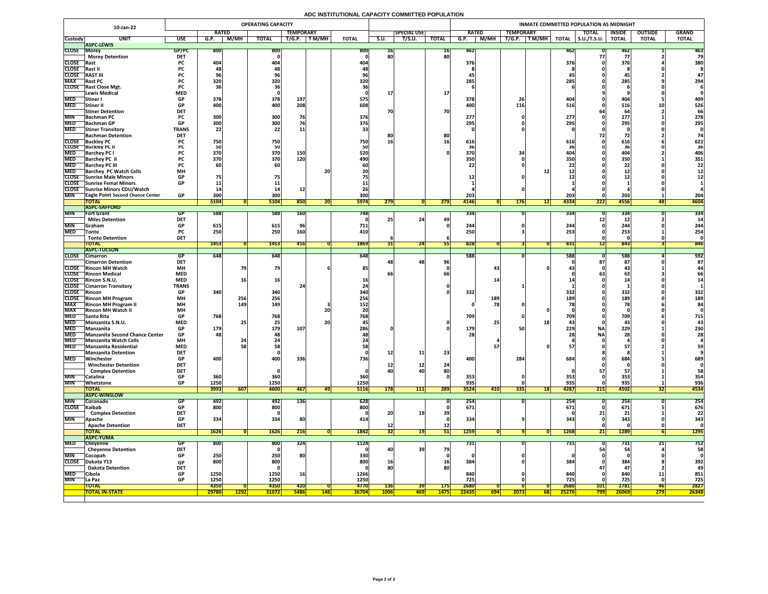# **ADC INSTITUTIONAL CAPACITY COMMITTED POPULATION**

|                            | 10-Jan-22                                                                  |                          |                    |             | <b>OPERATING CAPACITY</b> |                  |            |                     |             |                    |                 |                   |             |                                                                 |                    | INMATE COMMITTED POPULATION AS MIDNIGHT |                   |                |              |
|----------------------------|----------------------------------------------------------------------------|--------------------------|--------------------|-------------|---------------------------|------------------|------------|---------------------|-------------|--------------------|-----------------|-------------------|-------------|-----------------------------------------------------------------|--------------------|-----------------------------------------|-------------------|----------------|--------------|
|                            |                                                                            |                          | <b>RATED</b>       |             |                           | <b>TEMPORARY</b> |            |                     |             | <b>SPECIAL USE</b> |                 | <b>RATED</b>      |             | <b>TEMPORARY</b>                                                |                    | <b>TOTAL</b>                            | <b>INSIDE</b>     | <b>OUTSIDE</b> | <b>GRAND</b> |
| <b>Custody</b>             | <b>UNIT</b>                                                                | <b>USE</b>               | G.P.               | M/MH        | <b>TOTAL</b>              | T/G.P.           | T M/MH     | <b>TOTAL</b>        | S.U.        | T/S.U.             | <b>TOTAL</b>    | G.P.              | <b>M/MH</b> | $\boxed{\mathsf{T}\,\mathsf{M}/\mathsf{M}\mathsf{H}}$<br>T/G.P. | <b>TOTAL</b>       | $\vert$ S.U./T.S.U. $\vert$             | <b>TOTAL</b>      | <b>TOTAL</b>   | <b>TOTAL</b> |
| <b>CLOSE Morey</b>         | <b>ASPC-LEWIS</b>                                                          | GP/PC                    | 800                |             | 800                       |                  |            | 800                 | TP          |                    | 16              | 462               |             |                                                                 | 46Z                |                                         | 46Z               |                | 463          |
|                            | <b>Morey Detention</b>                                                     | <b>DET</b>               |                    |             |                           |                  |            |                     | 80          |                    | 80              |                   |             |                                                                 |                    |                                         |                   |                | 79           |
| <b>CLOSE</b> Rast          |                                                                            | <b>PC</b>                | 404                |             | 404                       |                  |            | 404                 |             |                    |                 | 376               |             |                                                                 | 376                |                                         | 376               |                | 380          |
| CLOSE Rast II              |                                                                            | rl.                      |                    |             |                           |                  |            |                     |             |                    |                 |                   |             |                                                                 |                    |                                         |                   |                |              |
| <b>CLOSE</b><br><b>MAX</b> | <b>RAST III</b>                                                            | <b>PC</b>                |                    |             | <b>YD</b>                 |                  |            |                     |             |                    |                 | 43                |             |                                                                 |                    |                                         |                   |                |              |
|                            | <b>Rast PC</b><br>CLOSE Rast Close Mgt.                                    | <b>PC</b><br><b>PC</b>   | 320                |             | 320                       |                  |            | 320                 |             |                    |                 | 285               |             |                                                                 | 285                |                                         | 285               |                | 294          |
|                            | Lewis Medical                                                              | <b>MED</b>               |                    |             |                           |                  |            |                     |             |                    | <b>17</b>       |                   |             |                                                                 |                    |                                         |                   |                |              |
| <b>MED</b>                 | ,Stiner J                                                                  | <b>GP</b>                | 378                |             | 378                       | 197              |            | 575                 |             |                    |                 | 378               |             | 26                                                              | 404                |                                         | 404               |                | 409          |
| <b>MED</b>                 | Stiner II                                                                  | <b>GP</b>                | 400                |             | 400                       | 208              |            | 608                 |             |                    |                 | 400               |             | 116                                                             | 516                |                                         | 516               |                | 526          |
|                            | <b>Stiner Detention</b>                                                    | <b>DET</b>               |                    |             |                           |                  |            |                     | 70          |                    | 70              |                   |             |                                                                 |                    |                                         |                   |                | 66           |
| <b>MIN</b>                 | <b>Bachman PC</b><br>MED Bachman GP                                        | <b>GP</b>                | 300<br><b>200L</b> |             | 300<br>300                | 76               |            | 376<br>376          |             |                    |                 | 277<br><b>205</b> |             |                                                                 | 277<br>295         |                                         | 277<br>205        |                | 278<br>295   |
| <b>MED</b>                 | <b>Stiner Transitory</b>                                                   | <b>TRANS</b>             | <b>PODE</b><br>22  |             | 22                        | <b>ᅩ</b>         |            |                     |             |                    |                 | <b>ZJJ</b>        |             |                                                                 |                    |                                         | <b>ZJJ</b>        |                |              |
|                            | <b>Bachman Detention</b>                                                   | <b>DET</b>               |                    |             |                           |                  |            |                     | 8Ľ          |                    | 80              |                   |             |                                                                 |                    |                                         |                   |                |              |
|                            | <b>CLOSE</b> Buckley PC                                                    |                          | 750                |             | 750                       |                  |            | 750                 | 16          |                    | <b>16</b>       | 616               |             |                                                                 | 616                |                                         | <b>616</b>        |                | 622          |
|                            | <b>CLOSE</b> Buckley PC II                                                 |                          |                    |             | 50                        |                  |            |                     |             |                    |                 |                   |             |                                                                 |                    |                                         |                   |                | 36           |
| <b>MED</b><br><b>MED</b>   | <b>Barchey PC I</b><br><b>Barchey PC II</b>                                |                          | 370<br>370         |             | 370<br>370                | 150<br>120       |            | 520<br>490          |             |                    |                 | 370<br>350        |             |                                                                 | 350                |                                         | 404<br><b>350</b> |                | 406<br>351   |
| <b>MED</b>                 | <b>Barchey PC III</b>                                                      |                          |                    |             | 60                        |                  |            |                     |             |                    |                 |                   |             |                                                                 |                    |                                         |                   |                | 22           |
| <b>MED</b>                 | <b>Barchey PC Watch Cells</b>                                              | <b>MH</b>                |                    |             |                           |                  | 20         |                     |             |                    |                 |                   |             |                                                                 |                    |                                         | & &               |                |              |
|                            | <b>CLOSE</b> Sunrise Male Minors                                           | <b>GP</b>                |                    |             |                           |                  |            |                     |             |                    |                 |                   |             |                                                                 |                    |                                         |                   |                |              |
|                            | CLOSE Sunrise Femal Minors                                                 | <b>GP</b>                |                    |             |                           |                  |            |                     |             |                    |                 |                   |             |                                                                 |                    |                                         |                   |                |              |
|                            | CLOSE Sunrise Minors CDU/Watch<br><b>TEagle Point Second Chance Center</b> | <b>GP</b>                |                    |             |                           |                  |            |                     |             |                    |                 |                   |             |                                                                 |                    |                                         |                   |                |              |
| <b>MIN</b>                 | <b>TOTAL</b>                                                               |                          | 300<br>5104        |             | 300<br>5104               | 850              | ZU         | 300<br><b>5974</b>  | 279         |                    | 279             | 203<br>4146       |             | <b>176</b>                                                      | 203<br>4334<br>121 | 222                                     | 203<br>4556       | 481            | 204<br>4604  |
|                            | <b>ASPC-SAFFORD</b>                                                        |                          |                    |             |                           |                  |            |                     |             |                    |                 |                   |             |                                                                 |                    |                                         |                   |                |              |
| <b>MIN</b>                 | <b>Fort Grant</b>                                                          | GP                       | 588                |             | 588                       | <b>160</b>       |            | 748I                |             |                    |                 | 334               |             |                                                                 | 334                |                                         | 334               |                | 334          |
|                            | <b>Miles Detention</b>                                                     | <b>DET</b>               |                    |             |                           |                  |            |                     |             | 24                 | 49              |                   |             |                                                                 |                    |                                         |                   |                |              |
| <b>MIN</b>                 | <b>Sraham</b>                                                              | <b>GP</b>                | 615                |             | 615                       |                  |            | 711                 |             |                    |                 | 244               |             |                                                                 | 244                |                                         | 244               |                | 244          |
| <b>MED</b>                 | <b>Tonto</b><br><b>Tonto Detention</b>                                     | <b>PC</b><br><b>DET</b>  | 250                |             | 250                       | <b>160</b>       |            | 410                 |             |                    |                 | 250               |             |                                                                 | 253                |                                         | 253               |                | 254          |
|                            | <b>TOTAL</b>                                                               |                          | 1453               |             | 1453                      | 416              |            | 1869                |             | 24                 |                 | 828               |             |                                                                 | 831                |                                         | 843               |                | 846          |
|                            | <b>ASPC-TUCSON</b>                                                         |                          |                    |             |                           |                  |            |                     |             |                    |                 |                   |             |                                                                 |                    |                                         |                   |                |              |
|                            | CLOSE Cimarron                                                             | GP.                      | 648                |             | 648                       |                  |            | 648                 |             |                    |                 | 588               |             |                                                                 | <b>588</b>         |                                         | 588               |                | 592          |
|                            | <b>Cimarron Detention</b>                                                  | <b>DET</b>               |                    |             |                           |                  |            |                     |             | <b>48</b>          | 96              |                   |             |                                                                 |                    | OI I                                    | 87                |                | 87           |
|                            | <b>CLOSE</b> Rincon MH Watch<br><b>CLOSE</b> Rincon Medical                | <b>MH</b><br><b>MED</b>  |                    |             | 79                        |                  |            | 85                  |             |                    |                 |                   | 43          |                                                                 |                    |                                         |                   |                |              |
|                            | CLOSE Rincon S.N.U.                                                        | <b>MED</b>               |                    |             | <b>16</b>                 |                  |            |                     |             |                    |                 |                   |             |                                                                 |                    |                                         |                   |                | 66           |
|                            | <b>CLOSE</b> Cimarron Transitory                                           | <b>TRANS</b>             |                    |             |                           |                  |            |                     |             |                    |                 |                   |             |                                                                 |                    |                                         |                   |                |              |
| <b>CLOSE</b> Rincon        |                                                                            | <b>GP</b>                | 340                |             | 340                       |                  |            | <b>340</b>          |             |                    |                 | 332               |             |                                                                 | 332                |                                         | 332               |                | 332          |
|                            | <b>CLOSE</b> Rincon MH Program                                             | <b>MH</b>                |                    | 256         | 256                       |                  |            | 256                 |             |                    |                 |                   | 189         |                                                                 | 189                |                                         | 189               |                | 189          |
| <b>MAX</b><br><b>MAX</b>   | <b>Rincon MH Program II</b><br><b>Rincon MH Watch II</b>                   | <b>MH</b>                |                    | 149         | <b>149</b>                |                  |            | 152 <sub>1</sub>    |             |                    |                 |                   | 78          |                                                                 |                    |                                         |                   |                |              |
| <b>MED</b>                 | <b>Santa Rita</b>                                                          | <b>MH</b><br><b>GP</b>   | 768                |             | 768                       |                  | 20         | 768                 |             |                    |                 | 709               |             |                                                                 | 709                |                                         | 709               |                | 715          |
| <b>MED</b>                 | Manzanita S.N.U.                                                           | <b>MED</b>               |                    |             | 25                        |                  | <b>20</b>  |                     |             |                    |                 |                   |             |                                                                 |                    |                                         |                   |                |              |
| <b>MED</b>                 | Manzanita                                                                  | <b>GP</b>                | 179                |             | 179                       | 107              |            | 286                 |             |                    |                 | 179               |             | 50                                                              | 229                | <b>NA</b>                               | 229               |                | 230          |
|                            | MED Manzanita Second Chance Center                                         | <b>GP</b>                | 481                |             | 48                        |                  |            |                     |             |                    |                 | <b>28</b>         |             |                                                                 |                    | <b>NAI</b>                              | <b>28</b>         |                | <b>28</b>    |
| <b>MED</b>                 | <b>Manzanita Watch Cells</b>                                               | <b>MH</b>                |                    |             |                           |                  |            |                     |             |                    |                 |                   |             |                                                                 |                    |                                         |                   |                |              |
| <b>MED</b>                 | Manzanita Residential<br><b>Manzanita Detention</b>                        | <b>MED</b><br><b>DET</b> |                    |             | 58                        |                  |            |                     |             | 11                 | 23              |                   |             |                                                                 |                    |                                         |                   |                | 59           |
| <b>MED</b>                 | Winchester                                                                 | <b>GP</b>                | 400                |             | 400                       | 336              |            | 736                 |             |                    |                 | 400               |             | 284                                                             | 684)               |                                         | 684               |                | 689          |
|                            | <b>Winchester Detention</b>                                                | <b>DET</b>               |                    |             |                           |                  |            |                     |             | 12                 | 24              |                   |             |                                                                 |                    |                                         |                   |                |              |
|                            | <b>Complex Detention</b>                                                   | <b>DET</b>               |                    |             |                           |                  |            |                     | 40          | 40                 | 80              |                   |             |                                                                 |                    |                                         |                   |                |              |
| <b>MIN</b>                 | Catalina                                                                   | <b>GP</b>                | 360                |             | 360                       |                  |            | 360                 |             |                    |                 | 353               |             |                                                                 | 353                |                                         | 353               |                | 354          |
| <b>MIN</b>                 | Whetstone<br><b>TOTAL</b>                                                  | <b>GP</b>                | 1250<br>3993       | 607         | 1250<br>4600              | 467              |            | 1250<br><b>5116</b> | 178         | 111                | 289             | 935<br>3524       | 410         | <b>335</b>                                                      | 935<br>4287<br> 18 | 215                                     | 935<br>4502       |                | 936<br>4534  |
|                            | <b>ASPC-WINSLOW</b>                                                        |                          |                    |             |                           |                  | 49         |                     |             |                    |                 |                   |             |                                                                 |                    |                                         |                   | JZI            |              |
| <b>MIN</b>                 | <b>Coronado</b>                                                            |                          | 492                |             | 492                       | 136              |            | 628                 |             |                    |                 | 254               |             |                                                                 | 254                |                                         | <b>254</b>        |                | 254          |
| CLOSE Kaibab               |                                                                            | GP                       | 800                |             | 800                       |                  |            | 800                 |             |                    |                 | 671               |             |                                                                 | 671                |                                         | 671               |                | 676          |
|                            | <b>Complex Detention</b>                                                   | <b>DET</b>               |                    |             |                           |                  |            |                     | 20          |                    | 39              |                   |             |                                                                 |                    | 21 <sup>1</sup>                         |                   |                | 22           |
| <b>MIN</b>                 | <b>Apache</b>                                                              | <b>GP</b>                | 334                |             | 334                       | 80               |            | 414                 |             |                    |                 | 334               |             |                                                                 | 343                |                                         | 343               |                | 343          |
|                            | <b>Apache Detention</b><br><b>TOTAL</b>                                    | <b>DET</b>               | 1626               |             | <b>1626</b>               | 216              |            | 1842                |             |                    | 12              | <b>1259</b>       |             |                                                                 | 1268               | 21                                      | 1289              |                | <b>1295</b>  |
|                            | <b>ASPC-YUMA</b>                                                           |                          |                    |             |                           |                  |            |                     | <b>34</b>   |                    | 511 L           |                   |             |                                                                 |                    |                                         |                   |                |              |
| <b>MED</b>                 | Cheyenne                                                                   | <b>GP</b>                | 800                |             | 800                       | 324              |            | 1124                |             |                    |                 | 731               |             |                                                                 | 731                |                                         | 731               | ∠⊥∣            | 752          |
|                            | <b>Cheyenne Detention</b>                                                  | <b>DET</b>               |                    |             |                           |                  |            |                     | 40          | 39                 | 79              |                   |             |                                                                 |                    |                                         |                   |                | 58           |
| <b>MIN</b>                 | Cocopah                                                                    | <b>GP</b>                | 250                |             | 250                       | 80               |            | 330                 |             |                    |                 |                   |             |                                                                 |                    |                                         |                   |                |              |
| <b>CLOSE</b>               | Dakota Y13                                                                 | <b>GP</b><br><b>DET</b>  | 800                |             | 800                       |                  |            | 800                 | 16          |                    | <b>16</b><br>80 | 384               |             |                                                                 | 384                |                                         | 384               |                | 392<br>49    |
| <b>MED</b>                 | <b>Dakota Detention</b><br>Cibola                                          | <b>GP</b>                | 1250               |             | 1250                      | <b>16</b>        |            | 1266                |             |                    |                 | 840               |             |                                                                 | 840                |                                         | 840               | $\blacksquare$ | 851          |
| <b>MIN</b>                 | La Paz                                                                     | <b>GP</b>                | 1250               |             | 1250                      |                  |            | 1250                |             |                    |                 | 725               |             |                                                                 | 725                |                                         | 725               |                | 725          |
|                            | <b>TOTAL</b>                                                               |                          | 4350               |             | 4350                      | <b>420</b>       |            | 4770                | <b>136</b>  | <b>391</b>         | <b>175</b>      | 2680              |             |                                                                 | 2680               | 101                                     | 2781              | <b>46</b>      | 2827         |
|                            | <b>TOTAL IN-STATE</b>                                                      |                          | 29780              | <b>1292</b> | <b>31072</b>              | <b>5486</b>      | <b>146</b> | <b>36704</b>        | <b>1006</b> | <u> 469  </u>      | <b>1475</b>     | 22435             | 694         | 2073                                                            | 25270<br><b>68</b> | <b>799</b>                              | 26069             | <b>279</b>     | 26348        |
|                            |                                                                            |                          |                    |             |                           |                  |            |                     |             |                    |                 |                   |             |                                                                 |                    |                                         |                   |                |              |